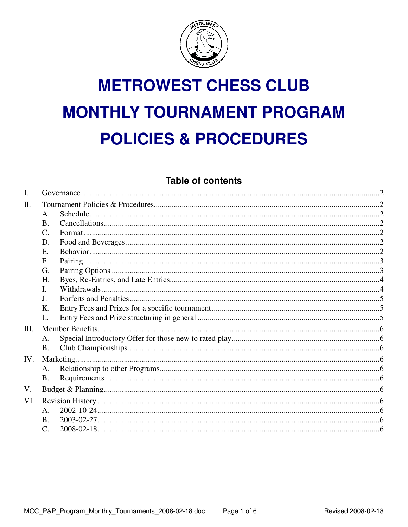

# **METROWEST CHESS CLUB MONTHLY TOURNAMENT PROGRAM POLICIES & PROCEDURES**

# **Table of contents**

| I.  |                 |  |  |
|-----|-----------------|--|--|
| Π.  |                 |  |  |
|     | $\mathsf{A}$ .  |  |  |
|     | <b>B.</b>       |  |  |
|     | $\mathcal{C}$ . |  |  |
|     | D.              |  |  |
|     | E.              |  |  |
|     | F <sub>1</sub>  |  |  |
|     | G.              |  |  |
|     | Н.              |  |  |
|     | $\mathbf{I}$ .  |  |  |
|     | J.              |  |  |
|     | K.              |  |  |
|     | L.              |  |  |
| Ш.  |                 |  |  |
|     | A.              |  |  |
|     | <b>B.</b>       |  |  |
| IV. |                 |  |  |
|     | A.              |  |  |
|     | <b>B.</b>       |  |  |
| V.  |                 |  |  |
| VI. |                 |  |  |
|     | $A_{\cdot}$     |  |  |
|     | <b>B.</b>       |  |  |
|     | $\mathbf{C}$ .  |  |  |
|     |                 |  |  |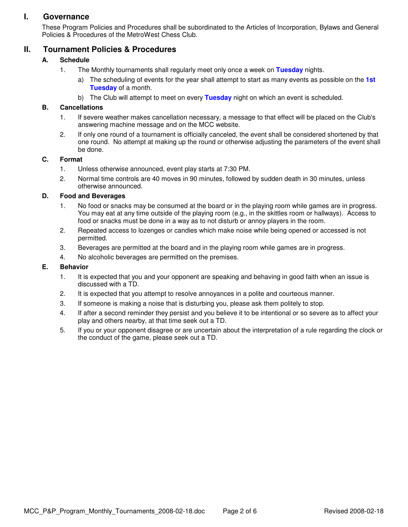# **I. Governance**

These Program Policies and Procedures shall be subordinated to the Articles of Incorporation, Bylaws and General Policies & Procedures of the MetroWest Chess Club.

# **II. Tournament Policies & Procedures**

#### **A. Schedule**

- 1. The Monthly tournaments shall regularly meet only once a week on **Tuesday** nights.
	- a) The scheduling of events for the year shall attempt to start as many events as possible on the **1st Tuesday** of a month.
	- b) The Club will attempt to meet on every **Tuesday** night on which an event is scheduled.

#### **B. Cancellations**

- 1. If severe weather makes cancellation necessary, a message to that effect will be placed on the Club's answering machine message and on the MCC website.
- 2. If only one round of a tournament is officially canceled, the event shall be considered shortened by that one round. No attempt at making up the round or otherwise adjusting the parameters of the event shall be done.

#### **C. Format**

- 1. Unless otherwise announced, event play starts at 7:30 PM.
- 2. Normal time controls are 40 moves in 90 minutes, followed by sudden death in 30 minutes, unless otherwise announced.

#### **D. Food and Beverages**

- 1. No food or snacks may be consumed at the board or in the playing room while games are in progress. You may eat at any time outside of the playing room (e.g., in the skittles room or hallways). Access to food or snacks must be done in a way as to not disturb or annoy players in the room.
- 2. Repeated access to lozenges or candies which make noise while being opened or accessed is not permitted.
- 3. Beverages are permitted at the board and in the playing room while games are in progress.
- 4. No alcoholic beverages are permitted on the premises.

#### **E. Behavior**

- 1. It is expected that you and your opponent are speaking and behaving in good faith when an issue is discussed with a TD.
- 2. It is expected that you attempt to resolve annoyances in a polite and courteous manner.
- 3. If someone is making a noise that is disturbing you, please ask them politely to stop.
- 4. If after a second reminder they persist and you believe it to be intentional or so severe as to affect your play and others nearby, at that time seek out a TD.
- 5. If you or your opponent disagree or are uncertain about the interpretation of a rule regarding the clock or the conduct of the game, please seek out a TD.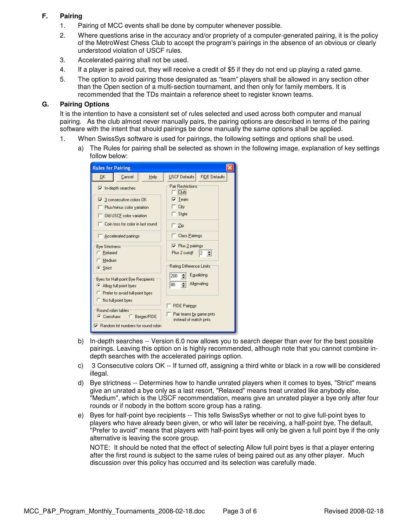#### **F. Pairing**

- 1. Pairing of MCC events shall be done by computer whenever possible.
- 2. Where questions arise in the accuracy and/or propriety of a computer-generated pairing, it is the policy of the MetroWest Chess Club to accept the program's pairings in the absence of an obvious or clearly understood violation of USCF rules.
- 3. Accelerated-pairing shall not be used.
- 4. If a player is paired out, they will receive a credit of \$5 if they do not end up playing a rated game.
- 5. The option to avoid pairing those designated as "team" players shall be allowed in any section other than the Open section of a multi-section tournament, and then only for family members. It is recommended that the TDs maintain a reference sheet to register known teams.

#### **G. Pairing Options**

It is the intention to have a consistent set of rules selected and used across both computer and manual pairing. As the club almost never manually pairs, the pairing options are described in terms of the pairing software with the intent that should pairings be done manually the same options shall be applied.

- 1. When SwissSys software is used for pairings, the following settings and options shall be used.
	- a) The Rules for pairing shall be selected as shown in the following image, explanation of key settings follow below:

| <b>Rules for Pairing</b>                                                                                                                                                                                                                                                                                                                                                                                                                                                                                                             |      |                                                                                                                                                                                                                                                                         |                                       |  |  |  |  |
|--------------------------------------------------------------------------------------------------------------------------------------------------------------------------------------------------------------------------------------------------------------------------------------------------------------------------------------------------------------------------------------------------------------------------------------------------------------------------------------------------------------------------------------|------|-------------------------------------------------------------------------------------------------------------------------------------------------------------------------------------------------------------------------------------------------------------------------|---------------------------------------|--|--|--|--|
| 0K<br>Cancel                                                                                                                                                                                                                                                                                                                                                                                                                                                                                                                         | Help | USCF Defaults                                                                                                                                                                                                                                                           | <b>FIDE Defaults</b>                  |  |  |  |  |
| $\overline{\triangledown}$ In-depth searches<br>$\nabla$ 3 consecutive colors DK<br>Plus/minus color variation<br>Old USCF color variation<br>Coin toss for color in last round<br>$\Box$ Accelerated pairings<br><b>Bye Strictness</b><br>C Relaxed<br>Medium<br>G Strict<br>Byes for Half-point Bye Recipients:<br>Allow full point byes<br><sup>C</sup> Prefer to avoid full-point byes<br>No full-point byes<br>Round robin tables:<br>C Crenshaw<br>C Berger/FIDE<br>$\overline{\mathbf{v}}$ Random lot numbers for round robin |      | Pair Restrictions<br>Club<br>$\overline{\mathbf{v}}$ Team<br>City<br>State<br>Zip<br>Class Pairings<br>$\nabla$ Plus 2 pairings<br>Plus 2 cutoff<br>Rating Difference Limits:<br>200<br>80<br><b>FIDE Pairings</b><br>Pair teams by game pnts<br>instead of match pnts. | $2 \div$<br>Egualizing<br>Alternating |  |  |  |  |

- b) In-depth searches -- Version 6.0 now allows you to search deeper than ever for the best possible pairings. Leaving this option on is highly recommended, although note that you cannot combine indepth searches with the accelerated pairings option.
- c) 3 Consecutive colors OK -- If turned off, assigning a third white or black in a row will be considered illegal.
- d) Bye strictness -- Determines how to handle unrated players when it comes to byes, "Strict" means give an unrated a bye only as a last resort, "Relaxed" means treat unrated like anybody else, "Medium", which is the USCF recommendation, means give an unrated player a bye only after four rounds or if nobody in the bottom score group has a rating.
- e) Byes for half-point bye recipients -- This tells SwissSys whether or not to give full-point byes to players who have already been given, or who will later be receiving, a half-point bye, The default, "Prefer to avoid" means that players with half-point byes will only be given a full point bye if the only alternative is leaving the score group.

NOTE: It should be noted that the effect of selecting Allow full point byes is that a player entering after the first round is subject to the same rules of being paired out as any other player. Much discussion over this policy has occurred and its selection was carefully made.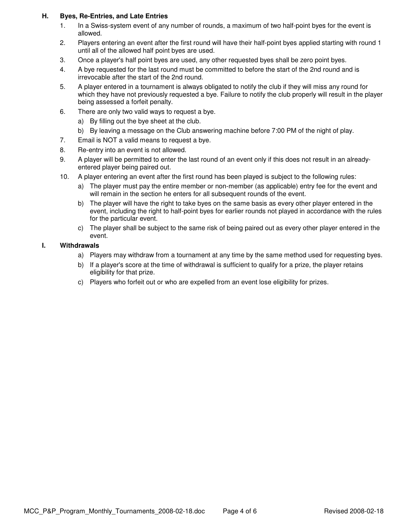#### **H. Byes, Re-Entries, and Late Entries**

- 1. In a Swiss-system event of any number of rounds, a maximum of two half-point byes for the event is allowed.
- 2. Players entering an event after the first round will have their half-point byes applied starting with round 1 until all of the allowed half point byes are used.
- 3. Once a player's half point byes are used, any other requested byes shall be zero point byes.
- 4. A bye requested for the last round must be committed to before the start of the 2nd round and is irrevocable after the start of the 2nd round.
- 5. A player entered in a tournament is always obligated to notify the club if they will miss any round for which they have not previously requested a bye. Failure to notify the club properly will result in the player being assessed a forfeit penalty.
- 6. There are only two valid ways to request a bye.
	- a) By filling out the bye sheet at the club.
	- b) By leaving a message on the Club answering machine before 7:00 PM of the night of play.
- 7. Email is NOT a valid means to request a bye.
- 8. Re-entry into an event is not allowed.
- 9. A player will be permitted to enter the last round of an event only if this does not result in an alreadyentered player being paired out.
- 10. A player entering an event after the first round has been played is subject to the following rules:
	- a) The player must pay the entire member or non-member (as applicable) entry fee for the event and will remain in the section he enters for all subsequent rounds of the event.
	- b) The player will have the right to take byes on the same basis as every other player entered in the event, including the right to half-point byes for earlier rounds not played in accordance with the rules for the particular event.
	- c) The player shall be subject to the same risk of being paired out as every other player entered in the event.

#### **I. Withdrawals**

- a) Players may withdraw from a tournament at any time by the same method used for requesting byes.
- b) If a player's score at the time of withdrawal is sufficient to qualify for a prize, the player retains eligibility for that prize.
- c) Players who forfeit out or who are expelled from an event lose eligibility for prizes.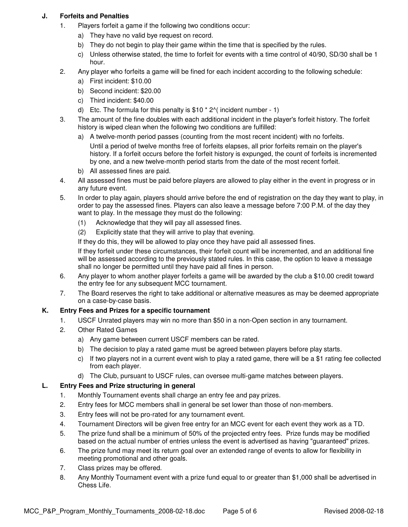#### **J. Forfeits and Penalties**

- 1. Players forfeit a game if the following two conditions occur:
	- a) They have no valid bye request on record.
	- b) They do not begin to play their game within the time that is specified by the rules.
	- c) Unless otherwise stated, the time to forfeit for events with a time control of 40/90, SD/30 shall be 1 hour.
- 2. Any player who forfeits a game will be fined for each incident according to the following schedule:
	- a) First incident: \$10.00
	- b) Second incident: \$20.00
	- c) Third incident: \$40.00
	- d) Etc. The formula for this penalty is  $$10 * 2$ <sup>(</sup> incident number 1)
- 3. The amount of the fine doubles with each additional incident in the player's forfeit history. The forfeit history is wiped clean when the following two conditions are fulfilled:
	- a) A twelve-month period passes (counting from the most recent incident) with no forfeits.

Until a period of twelve months free of forfeits elapses, all prior forfeits remain on the player's history. If a forfeit occurs before the forfeit history is expunged, the count of forfeits is incremented by one, and a new twelve-month period starts from the date of the most recent forfeit.

- b) All assessed fines are paid.
- 4. All assessed fines must be paid before players are allowed to play either in the event in progress or in any future event.
- 5. In order to play again, players should arrive before the end of registration on the day they want to play, in order to pay the assessed fines. Players can also leave a message before 7:00 P.M. of the day they want to play. In the message they must do the following:
	- (1) Acknowledge that they will pay all assessed fines.
	- (2) Explicitly state that they will arrive to play that evening.

If they do this, they will be allowed to play once they have paid all assessed fines.

If they forfeit under these circumstances, their forfeit count will be incremented, and an additional fine will be assessed according to the previously stated rules. In this case, the option to leave a message shall no longer be permitted until they have paid all fines in person.

- 6. Any player to whom another player forfeits a game will be awarded by the club a \$10.00 credit toward the entry fee for any subsequent MCC tournament.
- 7. The Board reserves the right to take additional or alternative measures as may be deemed appropriate on a case-by-case basis.

#### **K. Entry Fees and Prizes for a specific tournament**

- 1. USCF Unrated players may win no more than \$50 in a non-Open section in any tournament.
- 2. Other Rated Games
	- a) Any game between current USCF members can be rated.
	- b) The decision to play a rated game must be agreed between players before play starts.
	- c) If two players not in a current event wish to play a rated game, there will be a \$1 rating fee collected from each player.
	- d) The Club, pursuant to USCF rules, can oversee multi-game matches between players.

#### **L. Entry Fees and Prize structuring in general**

- 1. Monthly Tournament events shall charge an entry fee and pay prizes.
- 2. Entry fees for MCC members shall in general be set lower than those of non-members.
- 3. Entry fees will not be pro-rated for any tournament event.
- 4. Tournament Directors will be given free entry for an MCC event for each event they work as a TD.
- 5. The prize fund shall be a minimum of 50% of the projected entry fees. Prize funds may be modified based on the actual number of entries unless the event is advertised as having "guaranteed" prizes.
- 6. The prize fund may meet its return goal over an extended range of events to allow for flexibility in meeting promotional and other goals.
- 7. Class prizes may be offered.
- 8. Any Monthly Tournament event with a prize fund equal to or greater than \$1,000 shall be advertised in Chess Life.